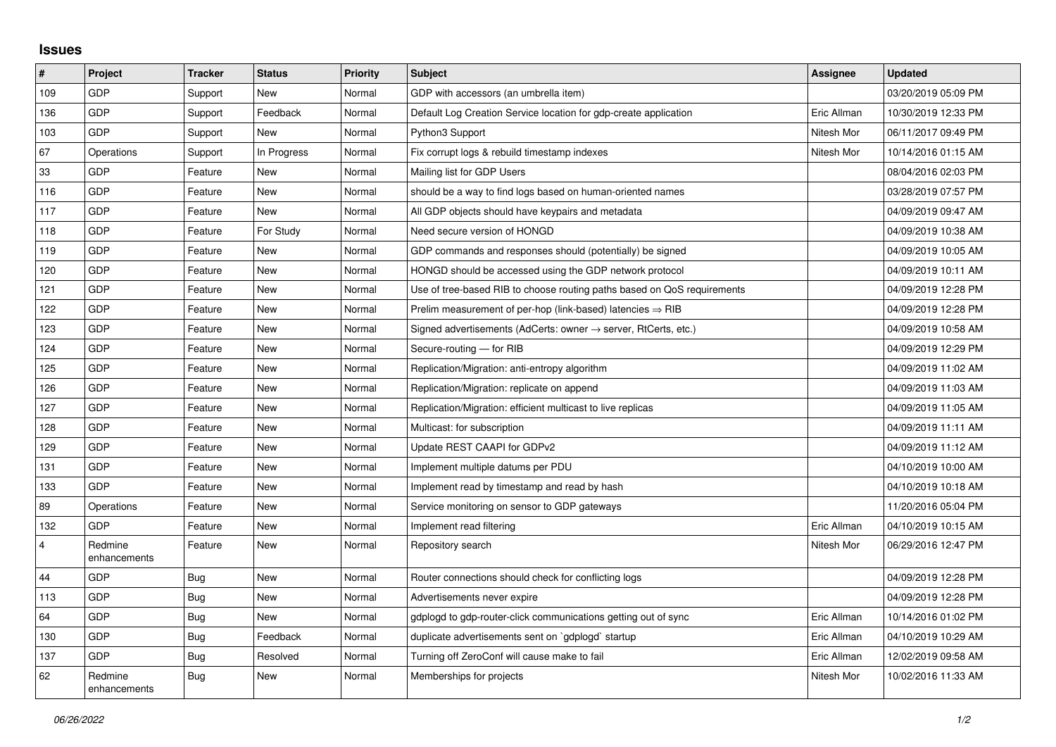## **Issues**

| $\sharp$ | <b>Project</b>          | <b>Tracker</b> | <b>Status</b> | <b>Priority</b> | <b>Subject</b>                                                             | Assignee    | <b>Updated</b>      |
|----------|-------------------------|----------------|---------------|-----------------|----------------------------------------------------------------------------|-------------|---------------------|
| 109      | GDP                     | Support        | <b>New</b>    | Normal          | GDP with accessors (an umbrella item)                                      |             | 03/20/2019 05:09 PM |
| 136      | <b>GDP</b>              | Support        | Feedback      | Normal          | Default Log Creation Service location for gdp-create application           | Eric Allman | 10/30/2019 12:33 PM |
| 103      | <b>GDP</b>              | Support        | <b>New</b>    | Normal          | Python3 Support                                                            | Nitesh Mor  | 06/11/2017 09:49 PM |
| 67       | Operations              | Support        | In Progress   | Normal          | Fix corrupt logs & rebuild timestamp indexes                               | Nitesh Mor  | 10/14/2016 01:15 AM |
| 33       | <b>GDP</b>              | Feature        | <b>New</b>    | Normal          | Mailing list for GDP Users                                                 |             | 08/04/2016 02:03 PM |
| 116      | GDP                     | Feature        | <b>New</b>    | Normal          | should be a way to find logs based on human-oriented names                 |             | 03/28/2019 07:57 PM |
| 117      | GDP                     | Feature        | <b>New</b>    | Normal          | All GDP objects should have keypairs and metadata                          |             | 04/09/2019 09:47 AM |
| 118      | <b>GDP</b>              | Feature        | For Study     | Normal          | Need secure version of HONGD                                               |             | 04/09/2019 10:38 AM |
| 119      | <b>GDP</b>              | Feature        | <b>New</b>    | Normal          | GDP commands and responses should (potentially) be signed                  |             | 04/09/2019 10:05 AM |
| 120      | GDP                     | Feature        | <b>New</b>    | Normal          | HONGD should be accessed using the GDP network protocol                    |             | 04/09/2019 10:11 AM |
| 121      | <b>GDP</b>              | Feature        | <b>New</b>    | Normal          | Use of tree-based RIB to choose routing paths based on QoS requirements    |             | 04/09/2019 12:28 PM |
| 122      | <b>GDP</b>              | Feature        | <b>New</b>    | Normal          | Prelim measurement of per-hop (link-based) latencies $\Rightarrow$ RIB     |             | 04/09/2019 12:28 PM |
| 123      | GDP                     | Feature        | <b>New</b>    | Normal          | Signed advertisements (AdCerts: owner $\rightarrow$ server, RtCerts, etc.) |             | 04/09/2019 10:58 AM |
| 124      | GDP                     | Feature        | <b>New</b>    | Normal          | Secure-routing - for RIB                                                   |             | 04/09/2019 12:29 PM |
| 125      | <b>GDP</b>              | Feature        | <b>New</b>    | Normal          | Replication/Migration: anti-entropy algorithm                              |             | 04/09/2019 11:02 AM |
| 126      | GDP                     | Feature        | <b>New</b>    | Normal          | Replication/Migration: replicate on append                                 |             | 04/09/2019 11:03 AM |
| 127      | <b>GDP</b>              | Feature        | <b>New</b>    | Normal          | Replication/Migration: efficient multicast to live replicas                |             | 04/09/2019 11:05 AM |
| 128      | <b>GDP</b>              | Feature        | New           | Normal          | Multicast: for subscription                                                |             | 04/09/2019 11:11 AM |
| 129      | GDP                     | Feature        | <b>New</b>    | Normal          | Update REST CAAPI for GDPv2                                                |             | 04/09/2019 11:12 AM |
| 131      | <b>GDP</b>              | Feature        | <b>New</b>    | Normal          | Implement multiple datums per PDU                                          |             | 04/10/2019 10:00 AM |
| 133      | <b>GDP</b>              | Feature        | <b>New</b>    | Normal          | Implement read by timestamp and read by hash                               |             | 04/10/2019 10:18 AM |
| 89       | Operations              | Feature        | <b>New</b>    | Normal          | Service monitoring on sensor to GDP gateways                               |             | 11/20/2016 05:04 PM |
| 132      | <b>GDP</b>              | Feature        | <b>New</b>    | Normal          | Implement read filtering                                                   | Eric Allman | 04/10/2019 10:15 AM |
| 4        | Redmine<br>enhancements | Feature        | New           | Normal          | Repository search                                                          | Nitesh Mor  | 06/29/2016 12:47 PM |
| 44       | GDP                     | Bug            | <b>New</b>    | Normal          | Router connections should check for conflicting logs                       |             | 04/09/2019 12:28 PM |
| 113      | <b>GDP</b>              | Bug            | <b>New</b>    | Normal          | Advertisements never expire                                                |             | 04/09/2019 12:28 PM |
| 64       | <b>GDP</b>              | Bug            | <b>New</b>    | Normal          | gdplogd to gdp-router-click communications getting out of sync             | Eric Allman | 10/14/2016 01:02 PM |
| 130      | GDP                     | <b>Bug</b>     | Feedback      | Normal          | duplicate advertisements sent on `gdplogd` startup                         | Eric Allman | 04/10/2019 10:29 AM |
| 137      | GDP                     | Bug            | Resolved      | Normal          | Turning off ZeroConf will cause make to fail                               | Eric Allman | 12/02/2019 09:58 AM |
| 62       | Redmine<br>enhancements | <b>Bug</b>     | <b>New</b>    | Normal          | Memberships for projects                                                   | Nitesh Mor  | 10/02/2016 11:33 AM |